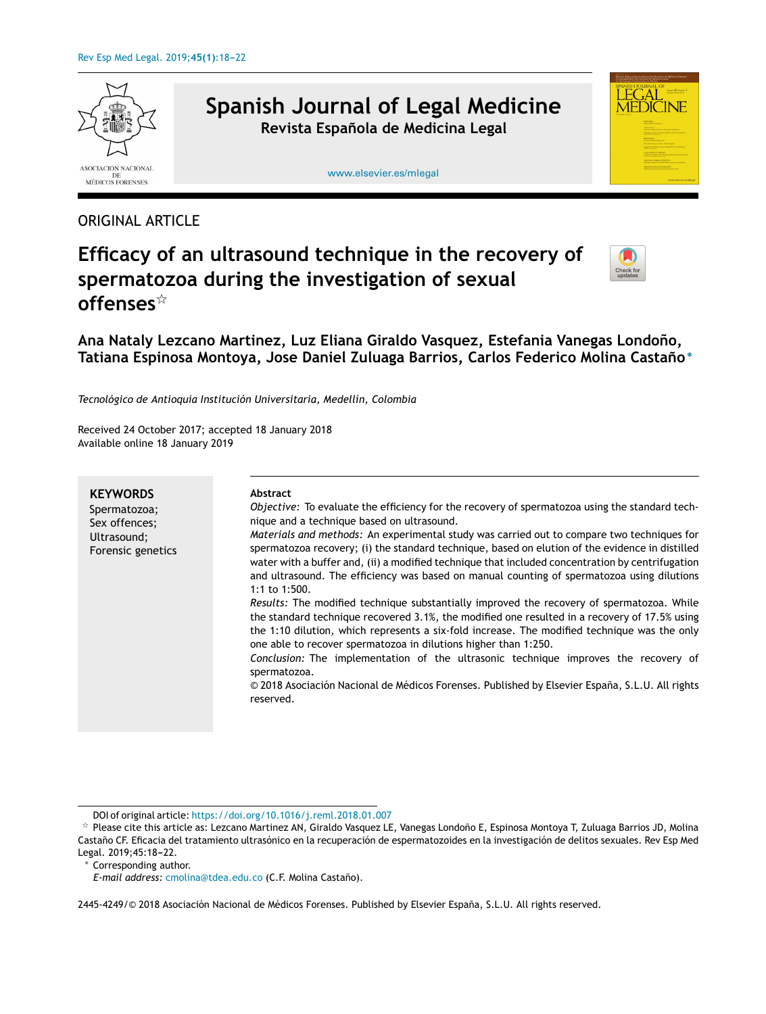

## ORIGINAL ARTICLE

# **Efficacy of an ultrasound technique in the recovery of spermatozoa during the investigation of sexual offenses**-



**Ana Nataly Lezcano Martinez, Luz Eliana Giraldo Vasquez, Estefania Vanegas Londono, ˜ Tatiana Espinosa Montoya, Jose Daniel Zuluaga Barrios, Carlos Federico Molina Castano˜** ∗

*Tecnológico de Antioquia Institución Universitaria, Medellín, Colombia*

Received 24 October 2017; accepted 18 January 2018 Available online 18 January 2019

| <b>KEYWORDS</b><br>Spermatozoa;<br>Sex offences;<br>Ultrasound;<br>Forensic genetics | <b>Abstract</b><br>Objective: To evaluate the efficiency for the recovery of spermatozoa using the standard tech-<br>nique and a technique based on ultrasound.<br>Materials and methods: An experimental study was carried out to compare two techniques for<br>spermatozoa recovery; (i) the standard technique, based on elution of the evidence in distilled<br>water with a buffer and, (ii) a modified technique that included concentration by centrifugation<br>and ultrasound. The efficiency was based on manual counting of spermatozoa using dilutions<br>1:1 to 1:500.<br>Results: The modified technique substantially improved the recovery of spermatozoa. While<br>the standard technique recovered 3.1%, the modified one resulted in a recovery of 17.5% using<br>the 1:10 dilution, which represents a six-fold increase. The modified technique was the only |
|--------------------------------------------------------------------------------------|-----------------------------------------------------------------------------------------------------------------------------------------------------------------------------------------------------------------------------------------------------------------------------------------------------------------------------------------------------------------------------------------------------------------------------------------------------------------------------------------------------------------------------------------------------------------------------------------------------------------------------------------------------------------------------------------------------------------------------------------------------------------------------------------------------------------------------------------------------------------------------------|
|                                                                                      | one able to recover spermatozoa in dilutions higher than 1:250.<br>Conclusion: The implementation of the ultrasonic technique improves the recovery of<br>spermatozoa.<br>© 2018 Asociación Nacional de Médicos Forenses. Published by Elsevier España, S.L.U. All rights<br>reserved.                                                                                                                                                                                                                                                                                                                                                                                                                                                                                                                                                                                            |

<sup>∗</sup> Corresponding author.

*E-mail address:* [cmolina@tdea.edu.co](mailto:cmolina@tdea.edu.co) (C.F. Molina Castano). ˜

2445-4249/© 2018 Asociación Nacional de Médicos Forenses. Published by Elsevier España, S.L.U. All rights reserved.

DOI of original article: <https://doi.org/10.1016/j.reml.2018.01.007>

 $*$  Please cite this article as: Lezcano Martinez AN, Giraldo Vasquez LE, Vanegas Londoño E, Espinosa Montoya T, Zuluaga Barrios JD, Molina Castaño CF. Eficacia del tratamiento ultrasónico en la recuperación de espermatozoides en la investigación de delitos sexuales. Rev Esp Med Legal. 2019;45:18-22.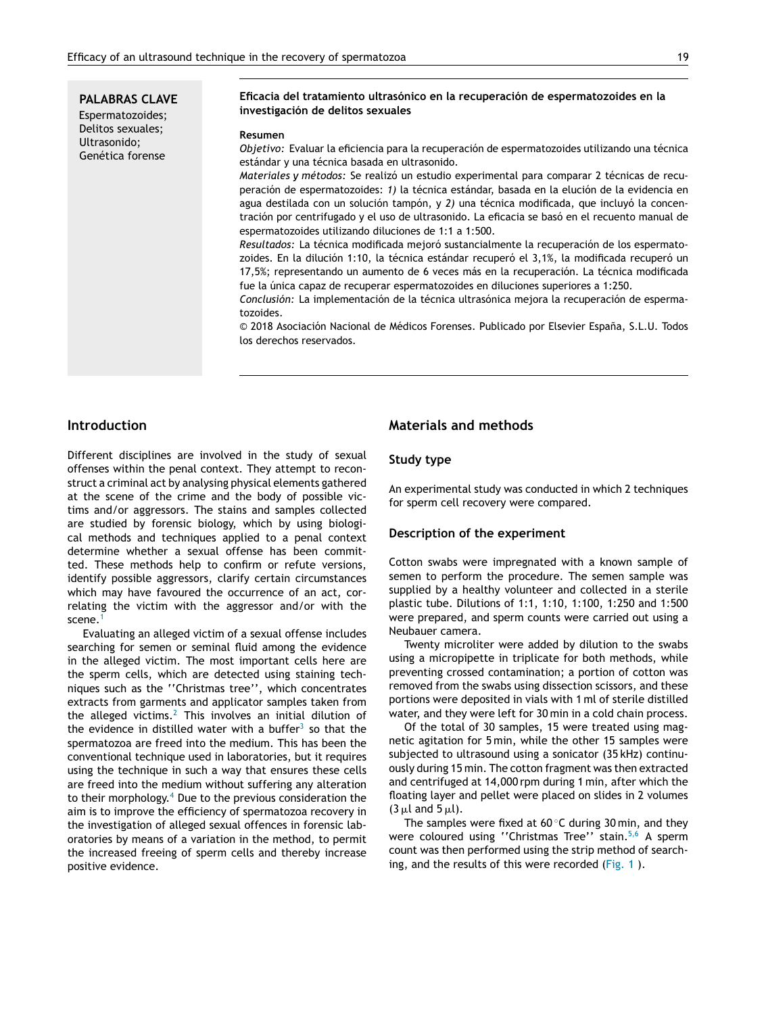**PALABRAS CLAVE** Espermatozoides; Delitos sexuales; Ultrasonido; Genética forense

#### **Eficacia del tratamiento ultrasónico en la recuperación de espermatozoides en la investigación de delitos sexuales**

#### **Resumen**

*Objetivo:* Evaluar la eficiencia para la recuperación de espermatozoides utilizando una técnica estándar y una técnica basada en ultrasonido.

*Materiales y métodos:* Se realizó un estudio experimental para comparar 2 técnicas de recuperación de espermatozoides: *1)* la técnica estándar, basada en la elución de la evidencia en agua destilada con un solución tampón, y *2)* una técnica modificada, que incluyó la concentración por centrifugado y el uso de ultrasonido. La eficacia se basó en el recuento manual de espermatozoides utilizando diluciones de 1:1 a 1:500.

*Resultados:* La técnica modificada mejoró sustancialmente la recuperación de los espermatozoides. En la dilución 1:10, la técnica estándar recuperó el 3,1%, la modificada recuperó un 17,5%; representando un aumento de 6 veces más en la recuperación. La técnica modificada fue la única capaz de recuperar espermatozoides en diluciones superiores a 1:250.

*Conclusión:* La implementación de la técnica ultrasónica mejora la recuperación de espermatozoides.

 $© 2018 Asociación Nacional de Médicos Forenses. Publicado por Elsevier España, S.L.U. Todos$ los derechos reservados.

## **Introduction**

Different disciplines are involved in the study of sexual offenses within the penal context. They attempt to reconstruct a criminal act by analysing physical elements gathered at the scene of the crime and the body of possible victims and/or aggressors. The stains and samples collected are studied by forensic biology, which by using biological methods and techniques applied to a penal context determine whether a sexual offense has been committed. These methods help to confirm or refute versions, identify possible aggressors, clarify certain circumstances which may have favoured the occurrence of an act, correlating the victim with the aggressor and/or with the scene.<sup>[1](#page-4-0)</sup>

Evaluating an alleged victim of a sexual offense includes searching for semen or seminal fluid among the evidence in the alleged victim. The most important cells here are the sperm cells, which are detected using staining techniques such as the ''Christmas tree'', which concentrates extracts from garments and applicator samples taken from the alleged victims.<sup>[2](#page-4-0)</sup> This involves an initial dilution of the evidence in distilled water with a buffer $^3$  $^3$  so that the spermatozoa are freed into the medium. This has been the conventional technique used in laboratories, but it requires using the technique in such a way that ensures these cells are freed into the medium without suffering any alteration to their morphology. $4$  Due to the previous consideration the aim is to improve the efficiency of spermatozoa recovery in the investigation of alleged sexual offences in forensic laboratories by means of a variation in the method, to permit the increased freeing of sperm cells and thereby increase positive evidence.

## **Materials and methods**

#### **Study type**

An experimental study was conducted in which 2 techniques for sperm cell recovery were compared.

#### **Description of the experiment**

Cotton swabs were impregnated with a known sample of semen to perform the procedure. The semen sample was supplied by a healthy volunteer and collected in a sterile plastic tube. Dilutions of 1:1, 1:10, 1:100, 1:250 and 1:500 were prepared, and sperm counts were carried out using a Neubauer camera.

Twenty microliter were added by dilution to the swabs using a micropipette in triplicate for both methods, while preventing crossed contamination; a portion of cotton was removed from the swabs using dissection scissors, and these portions were deposited in vials with 1 ml of sterile distilled water, and they were left for 30 min in a cold chain process.

Of the total of 30 samples, 15 were treated using magnetic agitation for 5 min, while the other 15 samples were subjected to ultrasound using a sonicator (35 kHz) continuously during 15 min. The cotton fragment was then extracted and centrifuged at 14,000 rpm during 1 min, after which the floating layer and pellet were placed on slides in 2 volumes  $(3 \mu l \text{ and } 5 \mu l).$ 

The samples were fixed at 60 $\degree$ C during 30 min, and they were coloured using "Christmas Tree" stain.<sup>[5,6](#page-4-0)</sup> A sperm count was then performed using the strip method of searching, and the results of this were recorded ([Fig.](#page-2-0) 1 ).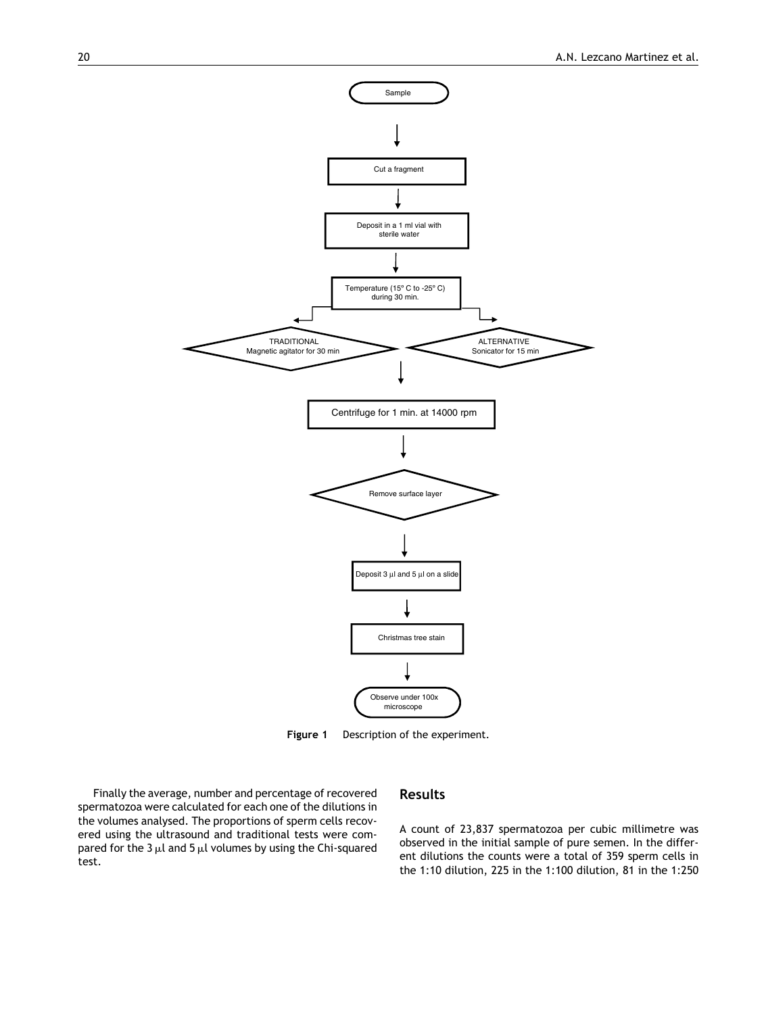<span id="page-2-0"></span>

**Figure 1** Description of the experiment.

Finally the average, number and percentage of recovered spermatozoa were calculated for each one of the dilutions in the volumes analysed. The proportions of sperm cells recovered using the ultrasound and traditional tests were compared for the 3  $\mu$ l and 5  $\mu$ l volumes by using the Chi-squared test.

## **Results**

A count of 23,837 spermatozoa per cubic millimetre was observed in the initial sample of pure semen. In the different dilutions the counts were a total of 359 sperm cells in the 1:10 dilution, 225 in the 1:100 dilution, 81 in the 1:250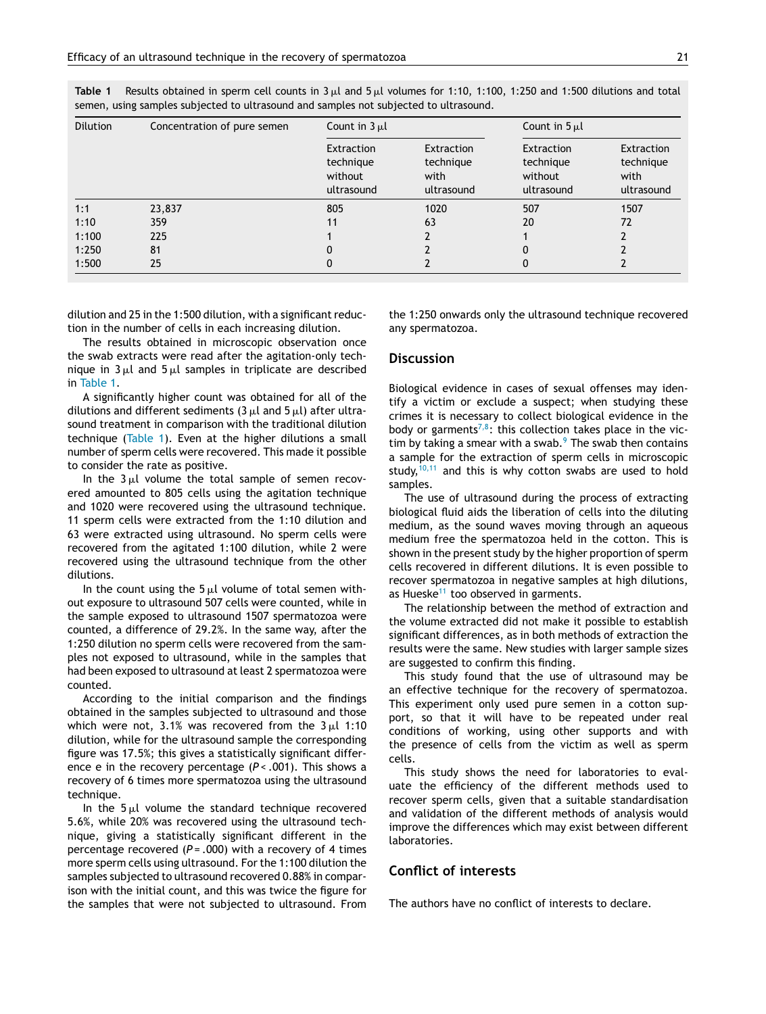| <b>Dilution</b> | Concentration of pure semen | Count in $3 \mu l$                               |                                               | Count in $5 \mu l$                                      |                                               |
|-----------------|-----------------------------|--------------------------------------------------|-----------------------------------------------|---------------------------------------------------------|-----------------------------------------------|
|                 |                             | Extraction<br>technique<br>without<br>ultrasound | Extraction<br>technique<br>with<br>ultrasound | <b>Extraction</b><br>technique<br>without<br>ultrasound | Extraction<br>technique<br>with<br>ultrasound |
| 1:1             | 23,837                      | 805                                              | 1020                                          | 507                                                     | 1507                                          |
| 1:10            | 359                         | 11                                               | 63                                            | 20                                                      | 72                                            |
| 1:100           | 225                         |                                                  |                                               |                                                         |                                               |
| 1:250           | 81                          | 0                                                |                                               | 0                                                       |                                               |
| 1:500           | 25                          | 0                                                |                                               | 0                                                       |                                               |

**Table 1** Results obtained in sperm cell counts in 3  $\mu$ l and 5  $\mu$ l volumes for 1:10, 1:100, 1:250 and 1:500 dilutions and total semen, using samples subjected to ultrasound and samples not subjected to ultrasound.

dilution and 25 in the 1:500 dilution, with a significant reduction in the number of cells in each increasing dilution.

The results obtained in microscopic observation once the swab extracts were read after the agitation-only technique in 3 $\mu$ l and 5 $\mu$ l samples in triplicate are described in Table 1.

A significantly higher count was obtained for all of the dilutions and different sediments (3  $\mu$ l and 5  $\mu$ l) after ultrasound treatment in comparison with the traditional dilution technique (Table 1). Even at the higher dilutions a small number of sperm cells were recovered. This made it possible to consider the rate as positive.

In the  $3\,\mu l$  volume the total sample of semen recovered amounted to 805 cells using the agitation technique and 1020 were recovered using the ultrasound technique. 11 sperm cells were extracted from the 1:10 dilution and 63 were extracted using ultrasound. No sperm cells were recovered from the agitated 1:100 dilution, while 2 were recovered using the ultrasound technique from the other dilutions*.*

In the count using the  $5\,\mu l$  volume of total semen without exposure to ultrasound 507 cells were counted, while in the sample exposed to ultrasound 1507 spermatozoa were counted, a difference of 29.2%. In the same way, after the 1:250 dilution no sperm cells were recovered from the samples not exposed to ultrasound, while in the samples that had been exposed to ultrasound at least 2 spermatozoa were counted.

According to the initial comparison and the findings obtained in the samples subjected to ultrasound and those which were not, 3.1% was recovered from the 3 $\mu$ l 1:10 dilution, while for the ultrasound sample the corresponding figure was 17.5%; this gives a statistically significant difference e in the recovery percentage (*P* < .001). This shows a recovery of 6 times more spermatozoa using the ultrasound technique.

In the  $5\,\mu l$  volume the standard technique recovered 5.6%, while 20% was recovered using the ultrasound technique, giving a statistically significant different in the percentage recovered (*P =* .000) with a recovery of 4 times more sperm cells using ultrasound. For the 1:100 dilution the samples subjected to ultrasound recovered 0.88% in comparison with the initial count, and this was twice the figure for the samples that were not subjected to ultrasound. From the 1:250 onwards only the ultrasound technique recovered any spermatozoa.

#### **Discussion**

Biological evidence in cases of sexual offenses may identify a victim or exclude a suspect; when studying these crimes it is necessary to collect biological evidence in the body or garments<sup>[7,8](#page-4-0)</sup>: this collection takes place in the victim by taking a smear with a swab. $9$  [T](#page-4-0)he swab then contains a sample for the extraction of sperm cells in microscopic study,  $10,11$  and this is why cotton swabs are used to hold samples.

The use of ultrasound during the process of extracting biological fluid aids the liberation of cells into the diluting medium, as the sound waves moving through an aqueous medium free the spermatozoa held in the cotton. This is shown in the present study by the higher proportion of sperm cells recovered in different dilutions. It is even possible to recover spermatozoa in negative samples at high dilutions, as Hueske $11$  too observed in garments.

The relationship between the method of extraction and the volume extracted did not make it possible to establish significant differences, as in both methods of extraction the results were the same. New studies with larger sample sizes are suggested to confirm this finding.

This study found that the use of ultrasound may be an effective technique for the recovery of spermatozoa. This experiment only used pure semen in a cotton support, so that it will have to be repeated under real conditions of working, using other supports and with the presence of cells from the victim as well as sperm cells.

This study shows the need for laboratories to evaluate the efficiency of the different methods used to recover sperm cells, given that a suitable standardisation and validation of the different methods of analysis would improve the differences which may exist between different laboratories.

## **Conflict of interests**

The authors have no conflict of interests to declare.